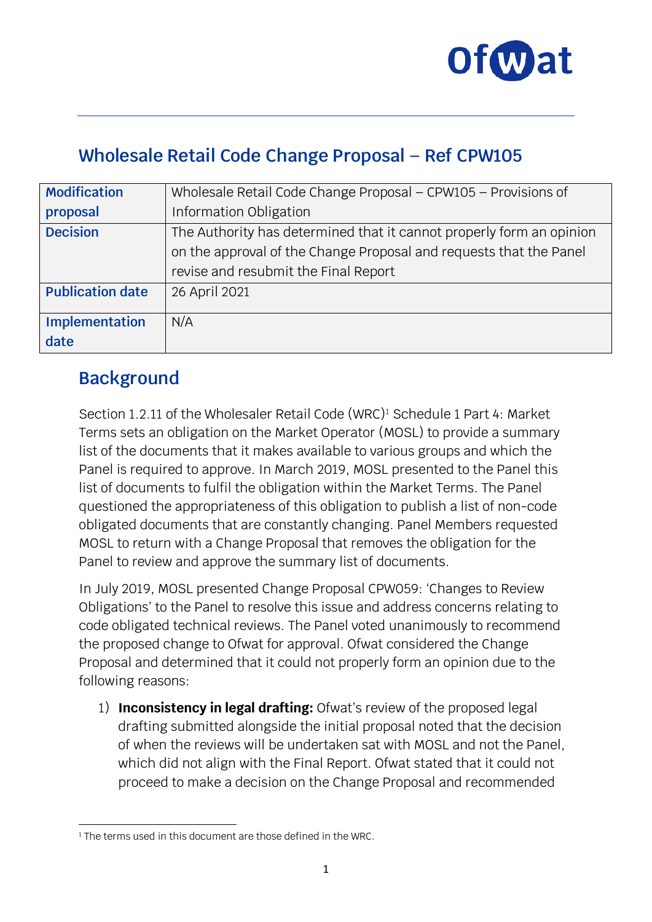

### **Wholesale Retail Code Change Proposal – Ref CPW105**

| <b>Modification</b>     | Wholesale Retail Code Change Proposal - CPW105 - Provisions of       |
|-------------------------|----------------------------------------------------------------------|
| proposal                | Information Obligation                                               |
| <b>Decision</b>         | The Authority has determined that it cannot properly form an opinion |
|                         | on the approval of the Change Proposal and requests that the Panel   |
|                         | revise and resubmit the Final Report                                 |
| <b>Publication date</b> | 26 April 2021                                                        |
|                         | N/A                                                                  |
| Implementation          |                                                                      |
| date                    |                                                                      |

### **Background**

Section 1.2.11 of the Wholesaler Retail Code (WRC)<sup>1</sup> Schedule 1 Part 4: Market Terms sets an obligation on the Market Operator (MOSL) to provide a summary list of the documents that it makes available to various groups and which the Panel is required to approve. In March 2019, MOSL presented to the Panel this list of documents to fulfil the obligation within the Market Terms. The Panel questioned the appropriateness of this obligation to publish a list of non-code obligated documents that are constantly changing. Panel Members requested MOSL to return with a Change Proposal that removes the obligation for the Panel to review and approve the summary list of documents.

In July 2019, MOSL presented Change Proposal CPW059: 'Changes to Review Obligations' to the Panel to resolve this issue and address concerns relating to code obligated technical reviews. The Panel voted unanimously to recommend the proposed change to Ofwat for approval. Ofwat considered the Change Proposal and determined that it could not properly form an opinion due to the following reasons:

1) **Inconsistency in legal drafting:** Ofwat's review of the proposed legal drafting submitted alongside the initial proposal noted that the decision of when the reviews will be undertaken sat with MOSL and not the Panel, which did not align with the Final Report. Ofwat stated that it could not proceed to make a decision on the Change Proposal and recommended

<span id="page-0-0"></span><sup>&</sup>lt;sup>1</sup> The terms used in this document are those defined in the WRC.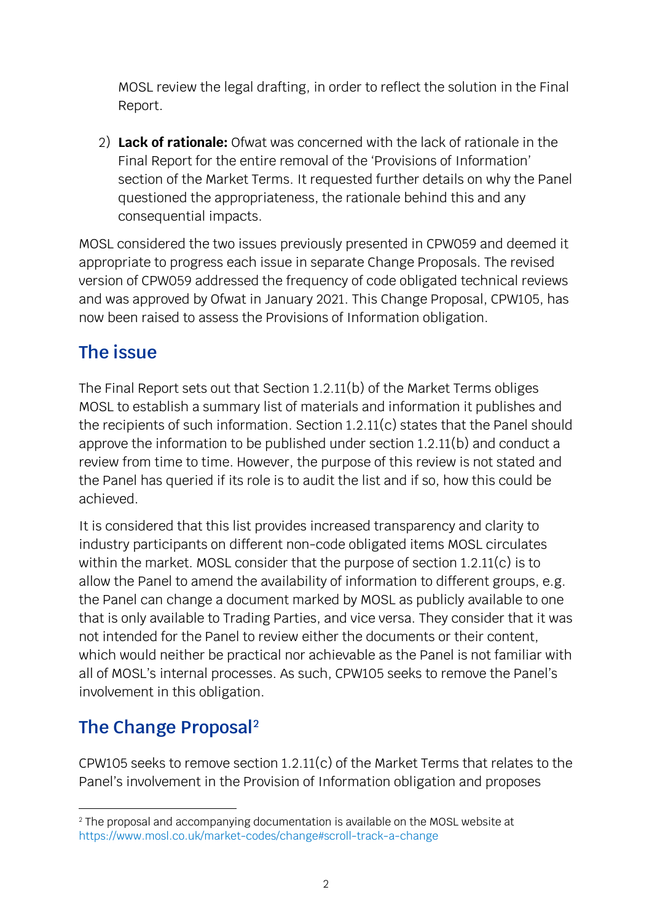MOSL review the legal drafting, in order to reflect the solution in the Final Report.

2) **Lack of rationale:** Ofwat was concerned with the lack of rationale in the Final Report for the entire removal of the 'Provisions of Information' section of the Market Terms. It requested further details on why the Panel questioned the appropriateness, the rationale behind this and any consequential impacts.

MOSL considered the two issues previously presented in CPW059 and deemed it appropriate to progress each issue in separate Change Proposals. The revised version of CPW059 addressed the frequency of code obligated technical reviews and was approved by Ofwat in January 2021. This Change Proposal, CPW105, has now been raised to assess the Provisions of Information obligation.

## **The issue**

The Final Report sets out that Section 1.2.11(b) of the Market Terms obliges MOSL to establish a summary list of materials and information it publishes and the recipients of such information. Section 1.2.11(c) states that the Panel should approve the information to be published under section 1.2.11(b) and conduct a review from time to time. However, the purpose of this review is not stated and the Panel has queried if its role is to audit the list and if so, how this could be achieved.

It is considered that this list provides increased transparency and clarity to industry participants on different non-code obligated items MOSL circulates within the market. MOSL consider that the purpose of section 1.2.11(c) is to allow the Panel to amend the availability of information to different groups, e.g. the Panel can change a document marked by MOSL as publicly available to one that is only available to Trading Parties, and vice versa. They consider that it was not intended for the Panel to review either the documents or their content, which would neither be practical nor achievable as the Panel is not familiar with all of MOSL's internal processes. As such, CPW105 seeks to remove the Panel's involvement in this obligation.

# **The Change Proposal[2](#page-1-0)**

CPW105 seeks to remove section 1.2.11(c) of the Market Terms that relates to the Panel's involvement in the Provision of Information obligation and proposes

<span id="page-1-0"></span><sup>&</sup>lt;sup>2</sup> The proposal and accompanying documentation is available on the MOSL website at <https://www.mosl.co.uk/market-codes/change#scroll-track-a-change>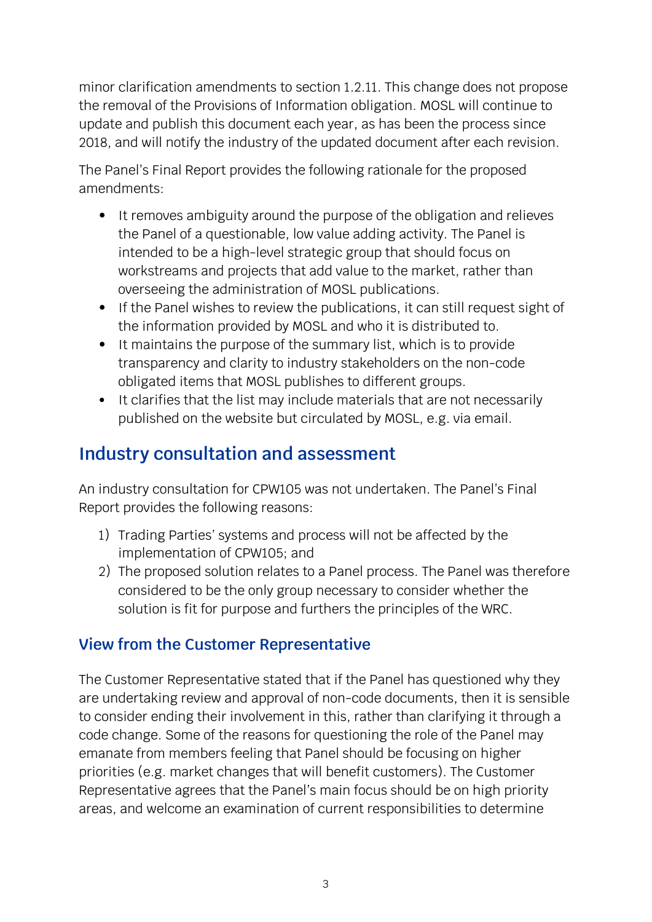minor clarification amendments to section 1.2.11. This change does not propose the removal of the Provisions of Information obligation. MOSL will continue to update and publish this document each year, as has been the process since 2018, and will notify the industry of the updated document after each revision.

The Panel's Final Report provides the following rationale for the proposed amendments:

- It removes ambiguity around the purpose of the obligation and relieves the Panel of a questionable, low value adding activity. The Panel is intended to be a high-level strategic group that should focus on workstreams and projects that add value to the market, rather than overseeing the administration of MOSL publications.
- If the Panel wishes to review the publications, it can still request sight of the information provided by MOSL and who it is distributed to.
- It maintains the purpose of the summary list, which is to provide transparency and clarity to industry stakeholders on the non-code obligated items that MOSL publishes to different groups.
- It clarifies that the list may include materials that are not necessarily published on the website but circulated by MOSL, e.g. via email.

## **Industry consultation and assessment**

An industry consultation for CPW105 was not undertaken. The Panel's Final Report provides the following reasons:

- 1) Trading Parties' systems and process will not be affected by the implementation of CPW105; and
- 2) The proposed solution relates to a Panel process. The Panel was therefore considered to be the only group necessary to consider whether the solution is fit for purpose and furthers the principles of the WRC.

### **View from the Customer Representative**

The Customer Representative stated that if the Panel has questioned why they are undertaking review and approval of non-code documents, then it is sensible to consider ending their involvement in this, rather than clarifying it through a code change. Some of the reasons for questioning the role of the Panel may emanate from members feeling that Panel should be focusing on higher priorities (e.g. market changes that will benefit customers). The Customer Representative agrees that the Panel's main focus should be on high priority areas, and welcome an examination of current responsibilities to determine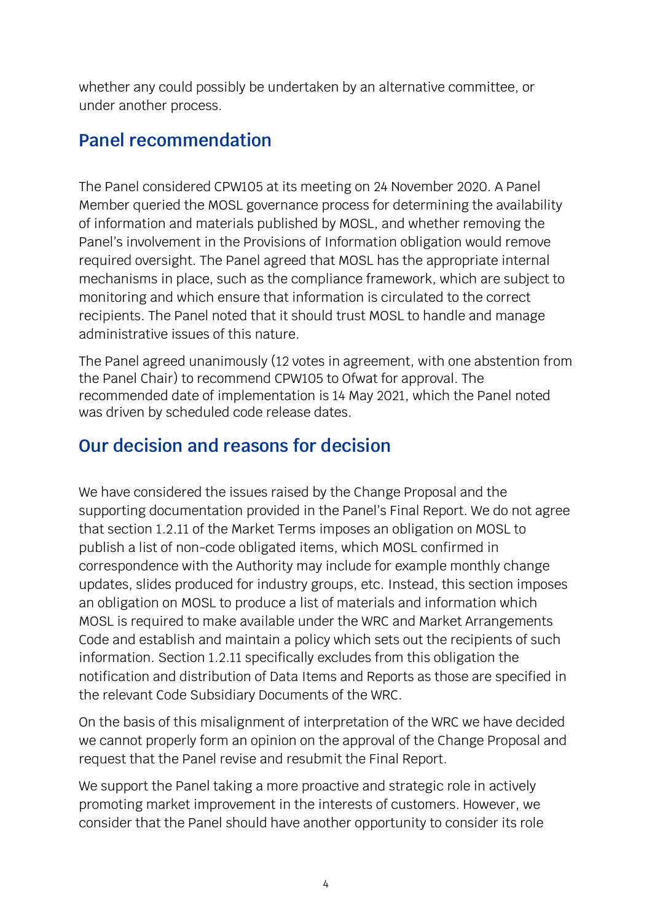whether any could possibly be undertaken by an alternative committee, or under another process.

### **Panel recommendation**

The Panel considered CPW105 at its meeting on 24 November 2020. A Panel Member queried the MOSL governance process for determining the availability of information and materials published by MOSL, and whether removing the Panel's involvement in the Provisions of Information obligation would remove required oversight. The Panel agreed that MOSL has the appropriate internal mechanisms in place, such as the compliance framework, which are subject to monitoring and which ensure that information is circulated to the correct recipients. The Panel noted that it should trust MOSL to handle and manage administrative issues of this nature.

The Panel agreed unanimously (12 votes in agreement, with one abstention from the Panel Chair) to recommend CPW105 to Ofwat for approval. The recommended date of implementation is 14 May 2021, which the Panel noted was driven by scheduled code release dates.

### **Our decision and reasons for decision**

We have considered the issues raised by the Change Proposal and the supporting documentation provided in the Panel's Final Report. We do not agree that section 1.2.11 of the Market Terms imposes an obligation on MOSL to publish a list of non-code obligated items, which MOSL confirmed in correspondence with the Authority may include for example monthly change updates, slides produced for industry groups, etc. Instead, this section imposes an obligation on MOSL to produce a list of materials and information which MOSL is required to make available under the WRC and Market Arrangements Code and establish and maintain a policy which sets out the recipients of such information. Section 1.2.11 specifically excludes from this obligation the notification and distribution of Data Items and Reports as those are specified in the relevant Code Subsidiary Documents of the WRC.

On the basis of this misalignment of interpretation of the WRC we have decided we cannot properly form an opinion on the approval of the Change Proposal and request that the Panel revise and resubmit the Final Report.

We support the Panel taking a more proactive and strategic role in actively promoting market improvement in the interests of customers. However, we consider that the Panel should have another opportunity to consider its role